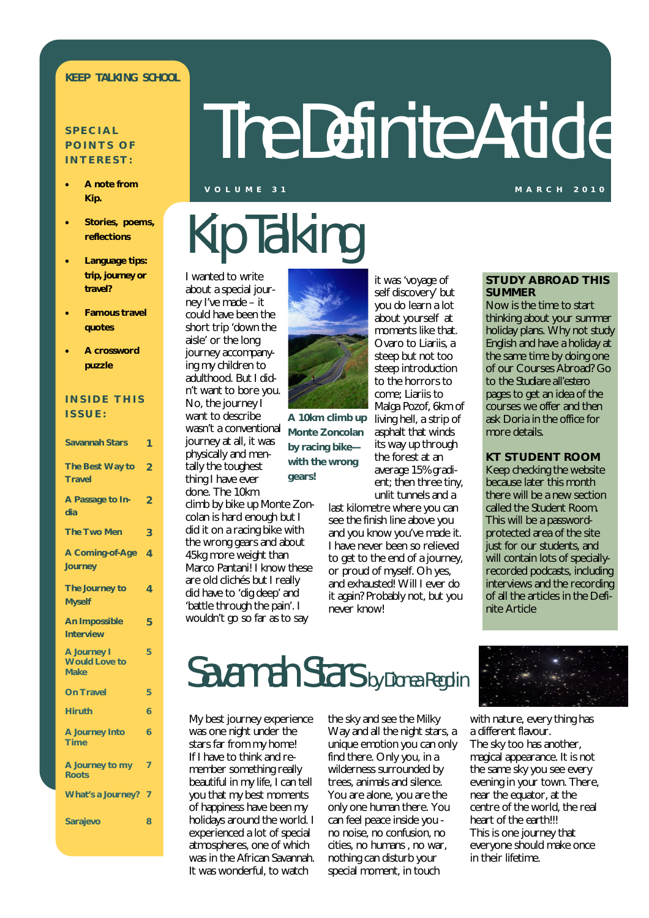### **KEEP TALKING SCHOOL**

### **S P E C I A L POINTS OF I N T E R E S T :**

- **A note from Kip.**
- **Stories, poems, reflections**
- **Language tips:**  *trip, journey or travel***?**
- **Famous travel quotes**
- **A crossword puzzle**

### **INSIDE THIS I S S U E :**

| <b>Savannah Stars</b>                                     | 1              |
|-----------------------------------------------------------|----------------|
| The Best Way to<br><b>Travel</b>                          | $\overline{2}$ |
| A Passage to In-<br>dia                                   | $\overline{2}$ |
| <b>The Two Men</b>                                        | 3              |
| A Coming-of-Age<br><b>Journey</b>                         | 4              |
| The Journey to<br><b>Myself</b>                           | 4              |
| <b>An Impossible</b><br><b>Interview</b>                  | 5              |
| <b>A Journey I</b><br><b>Would Love to</b><br><b>Make</b> | 5              |
| <b>On Travel</b>                                          | 5              |
| <b>Hiruth</b>                                             | 6              |
| A Journey Into<br><b>Time</b>                             | 6              |
| A Journey to my<br><b>Roots</b>                           | 7              |
| <b>What's a Journey?</b>                                  | 7              |
| <b>Sarajevo</b>                                           | 8              |

# The Definite Article

#### **V O L U M E 3 1 M A R C H 2 0 1 0**

# Kip Talking

I wanted to write about a special journey I've made – it could have been the short trip 'down the aisle' or the long journey accompanying my children to adulthood. But I didn't want to bore you. No, the journey I want to describe wasn't a conventional journey at all, it was physically and mentally the toughest thing I have ever done. The 10km

climb by bike up Monte Zoncolan is hard enough but I did it on a racing bike with the wrong gears and about 45kg more weight than Marco Pantani! I know these are old clichés but I really did have to 'dig deep' and 'battle through the pain'. I wouldn't go so far as to say

it was 'voyage of **A 10km climb up** 

**Monte Zoncolan by racing bike with the wrong gears!**

self discovery' but you do learn a lot about yourself at moments like that. Ovaro to Liariis, a steep but not too steep introduction to the horrors to come; Liariis to Malga Pozof, 6km of living hell, a strip of asphalt that winds its way up through the forest at an average 15% gradient; then three tiny, unlit tunnels and a

last kilometre where you can see the finish line above you and you know you've made it. I have never been so relieved to get to the end of a journey, or proud of myself. Oh yes, and exhausted! Will I ever do it again? Probably not, but you never know!

### **STUDY ABROAD THIS SUMMER**

Now is the time to start thinking about your summer holiday plans. Why not study English and have a holiday at the same time by doing one of our Courses Abroad? Go to the *Studiare all'estero* pages to get an idea of the courses we offer and then ask Doria in the office for more details.

### **KT STUDENT ROOM**

Keep checking the website because later this month there will be a new section called the Student Room. This will be a passwordprotected area of the site just for our students, and will contain lots of speciallyrecorded podcasts, including interviews and the recording of all the articles in the Definite Article

### Savannah Stars by Dionea Regolin

My best journey experience was one night under the stars far from my home! If I have to think and remember something really beautiful in my life, I can tell you that my best moments of happiness have been my holidays around the world. I experienced a lot of special atmospheres, one of which was in the African Savannah. It was wonderful, to watch

the sky and see the Milky Way and all the night stars, a unique emotion you can only find there. Only you, in a wilderness surrounded by trees, animals and silence. You are alone, you are the only one human there. You can feel peace inside you no noise, no confusion, no cities, no humans , no war, nothing can disturb your special moment, in touch



with nature, every thing has a different flavour. The sky too has another, magical appearance. It is not the same sky you see every evening in your town. There, near the equator, at the centre of the world, the real heart of the earth!!! This is one journey that everyone should make once in their lifetime.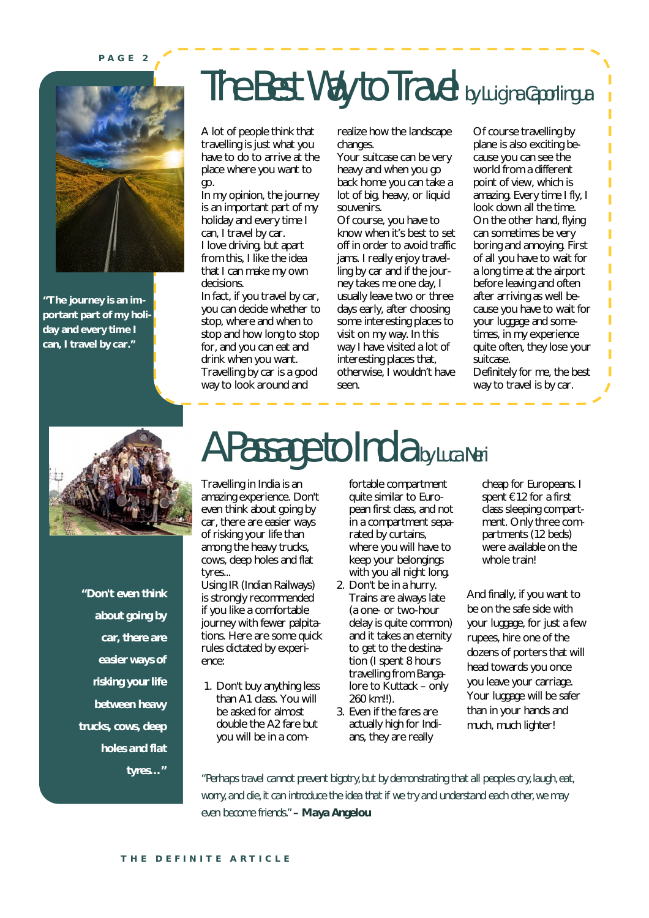#### **P A G E 2**



**"The journey is an important part of my holiday and every time I can, I travel by car."**

### The Best Way to Travel by Luigina Caporlingua

A lot of people think that travelling is just what you have to do to arrive at the place where you want to go.

In my opinion, the journey is an important part of my holiday and every time I can, I travel by car. I love driving, but apart from this, I like the idea that I can make my own decisions.

In fact, if you travel by car, you can decide whether to stop, where and when to stop and how long to stop for, and you can eat and drink when you want. Travelling by car is a good way to look around and

realize how the landscape changes.

Your suitcase can be very heavy and when you go back home you can take a lot of big, heavy, or liquid souvenirs.

Of course, you have to know when it's best to set off in order to avoid traffic jams. I really enjoy travelling by car and if the journey takes me one day, I usually leave two or three days early, after choosing some interesting places to visit on my way. In this way I have visited a lot of interesting places that, otherwise, I wouldn't have seen.

Of course travelling by plane is also exciting because you can see the world from a different point of view, which is amazing. Every time I fly, I look down all the time. On the other hand, flying can sometimes be very boring and annoying. First of all you have to wait for a long time at the airport before leaving and often after arriving as well because you have to wait for your luggage and sometimes, in my experience quite often, they lose your suitcase.

Definitely for me, the best way to travel is by car.



*"Don't even think about going by car, there are easier ways of risking your life between heavy trucks, cows, deep holes and flat tyres…"*

# A Passage to India by Luca Neri

Travelling in India is an amazing experience. Don't even think about going by car, there are easier ways of risking your life than among the heavy trucks, cows, deep holes and flat tyres...

Using IR (Indian Railways) is strongly recommended if you like a comfortable journey with fewer palpitations. Here are some quick rules dictated by experience:

1. Don't buy anything less than A1 class. You will be asked for almost double the A2 fare but you will be in a comfortable compartment quite similar to European first class, and not in a compartment separated by curtains, where you will have to keep your belongings with you all night long.

- 2. Don't be in a hurry. Trains are always late (a one- or two-hour delay is quite common) and it takes an eternity to get to the destination (I spent 8 hours travelling from Bangalore to Kuttack – only 260 km!!).
- 3. Even if the fares are actually high for Indians, they are really

cheap for Europeans. I spent €12 for a first class sleeping compartment. Only three compartments (12 beds) were available on the whole train!

And finally, if you want to be on the safe side with your luggage, for just a few rupees, hire one of the dozens of porters that will head towards you once you leave your carriage. Your luggage will be safer than in your hands and much, much lighter!

*"Perhaps travel cannot prevent bigotry, but by demonstrating that all peoples cry, laugh, eat, worry, and die, it can introduce the idea that if we try and understand each other, we may even become friends." – Maya Angelou*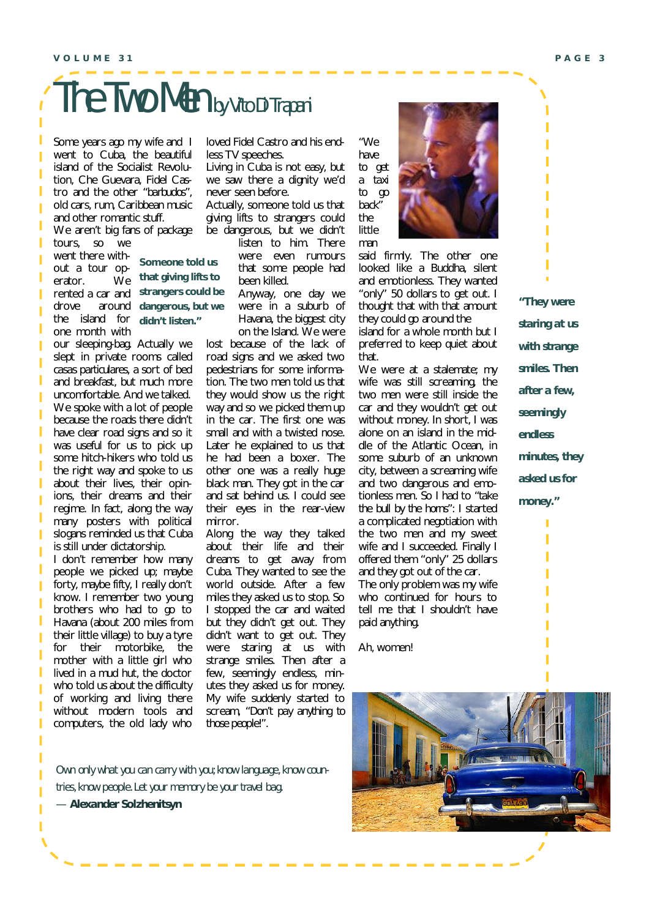## The Two Men by Vito Di Trapani

Some years ago my wife and I went to Cuba, the beautiful island of the Socialist Revolution, Che Guevara, Fidel Castro and the other *"barbudos"*, old cars, rum, Caribbean music and other romantic stuff.

We aren't big fans of package tours, so we

went there without a tour operator. We rented a car and drove around the island for one month with

ı

Ī

I

Ī

ı

Ī

Ī

Ī

**Someone told us that giving lifts to strangers could be dangerous, but we didn't listen."**

our sleeping-bag. Actually we slept in private rooms called *casas particulares*, a sort of bed and breakfast, but much more uncomfortable. And we talked. We spoke with a lot of people because the roads there didn't have clear road signs and so it was useful for us to pick up some hitch-hikers who told us the right way and spoke to us about their lives, their opinions, their dreams and their regime. In fact, along the way many posters with political slogans reminded us that Cuba is still under dictatorship.

I don't remember how many people we picked up; maybe forty, maybe fifty, I really don't know. I remember two young brothers who had to go to Havana (about 200 miles from their little village) to buy a tyre for their motorbike, the mother with a little girl who lived in a mud hut, the doctor who told us about the difficulty of working and living there without modern tools and computers, the old lady who loved Fidel Castro and his endless TV speeches.

Living in Cuba is not easy, but we saw there a dignity we'd never seen before.

Actually, someone told us that giving lifts to strangers could be dangerous, but we didn't

listen to him. There were even rumours that some people had been killed.

Anyway, one day we were in a suburb of Havana, the biggest city on the Island. We were

lost because of the lack of road signs and we asked two pedestrians for some information. The two men told us that they would show us the right way and so we picked them up in the car. The first one was small and with a twisted nose. Later he explained to us that he had been a boxer. The other one was a really huge black man. They got in the car and sat behind us. I could see their eyes in the rear-view mirror.

Along the way they talked about their life and their dreams to get away from Cuba. They wanted to see the world outside. After a few miles they asked us to stop. So I stopped the car and waited but they didn't get out. They didn't want to get out. They were staring at us with strange smiles. Then after a few, seemingly endless, minutes they asked us for money. My wife suddenly started to scream, *"Don't pay anything to those people!"*.

*Own only what you can carry with you; know language, know countries, know people. Let your memory be your travel bag.*

*— Alexander Solzhenitsyn*

*"We have to get a taxi to go back"* the

little man



said firmly. The other one looked like a Buddha, silent and emotionless. They wanted "only" 50 dollars to get out. I thought that with that amount they could go around the island for a whole month but I preferred to keep quiet about

that. We were at a stalemate; my wife was still screaming, the two men were still inside the car and they wouldn't get out without money. In short, I was alone on an island in the middle of the Atlantic Ocean, in some suburb of an unknown city, between a screaming wife and two dangerous and emotionless men. So I had to *"take the bull by the horns"*: I started a complicated negotiation with the two men and my sweet wife and I succeeded. Finally I offered them "only" 25 dollars and they got out of the car. The only problem was my wife

who continued for hours to tell me that I shouldn't have paid anything.

Ah, women!

*staring at us with strange smiles. Then after a few, seemingly endless minutes, they asked us for money."*

*"They were* 



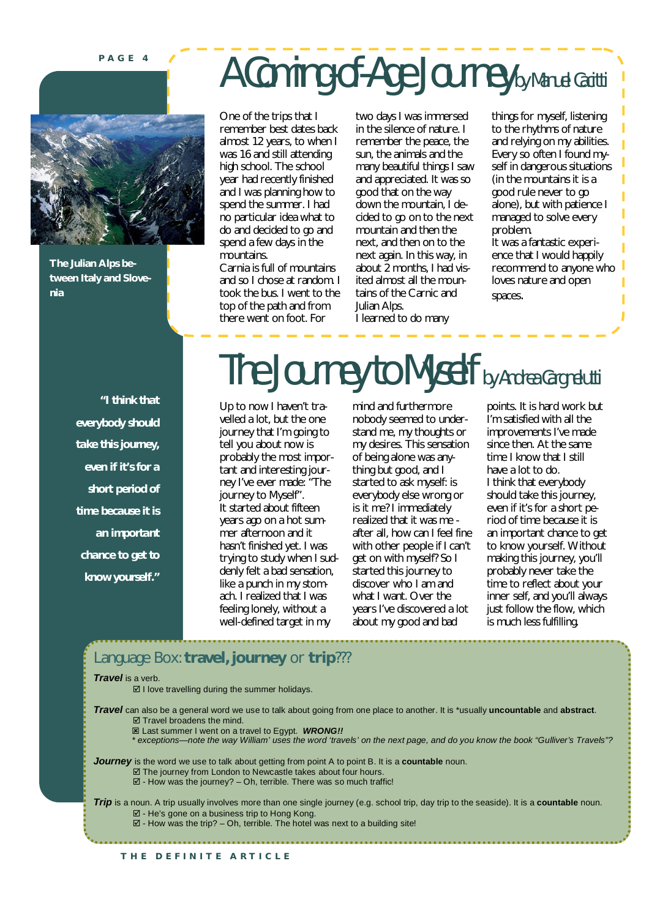**P A G E 4**



**The Julian Alps between Italy and Slovenia**

> *"I think that everybody should take this journey, even if it's for a short period of time because it is an important chance to get to know yourself."*

# A Coming-of-Age Journey by Manuel Cacitti

One of the trips that I remember best dates back almost 12 years, to when I was 16 and still attending high school. The school year had recently finished and I was planning how to spend the summer. I had no particular idea what to do and decided to go and spend a few days in the mountains.

Carnia is full of mountains and so I chose at random. I took the bus. I went to the top of the path and from there went on foot. For

two days I was immersed in the silence of nature. I remember the peace, the sun, the animals and the many beautiful things I saw and appreciated. It was so good that on the way down the mountain, I decided to go on to the next mountain and then the next, and then on to the next again. In this way, in about 2 months, I had visited almost all the mountains of the Carnic and Julian Alps. I learned to do many

things for myself, listening to the rhythms of nature and relying on my abilities. Every so often I found myself in dangerous situations (in the mountains it is a good rule never to go alone), but with patience I managed to solve every problem. It was a fantastic experi-

ence that I would happily recommend to anyone who loves nature and open spaces.

# The Journey to Myself by Andrea Cargnelutti

Up to now I haven't travelled a lot, but the one journey that I'm going to tell you about now is probably the most important and interesting journey I've ever made: "The journey to Myself". It started about fifteen years ago on a hot summer afternoon and it hasn't finished yet. I was trying to study when I suddenly felt a bad sensation, like a punch in my stomach. I realized that I was feeling lonely, without a well-defined target in my

mind and furthermore nobody seemed to understand me, my thoughts or my desires. This sensation of being alone was anything but good, and I started to ask myself: is everybody else wrong or is it me? I immediately realized that it was me after all, how can I feel fine with other people if I can't get on with myself? So I started this journey to discover who I am and what I want. Over the years I've discovered a lot about my good and bad

points. It is hard work but I'm satisfied with all the improvements I've made since then. At the same time I know that I still have a lot to do. I think that everybody should take this journey, even if it's for a short period of time because it is an important chance to get to know yourself. Without making this journey, you'll probably never take the time to reflect about your inner self, and you'll always just follow the flow, which is much less fulfilling.

### Language Box: **travel, journey** or **trip**???

#### *Travel* is a verb.

 $\boxtimes$  I love travelling during the summer holidays.

*Travel* can also be a general word we use to talk about going from one place to another. It is \*usually **uncountable** and **abstract**.  $\boxtimes$  Travel broadens the mind.

Last summer I went on a travel to Egypt. *WRONG!!*

*\* exceptions—note the way William' uses the word 'travels' on the next page, and do you know the book "Gulliver's Travels"?*

*Journey* is the word we use to talk about getting from point A to point B. It is a **countable** noun.  $\boxtimes$  The journey from London to Newcastle takes about four hours.

 $\overline{\boxtimes}$  - How was the journey? – Oh, terrible. There was so much traffic!

*Trip* is a noun. A trip usually involves more than one single journey (e.g. school trip, day trip to the seaside). It is a **countable** noun. - He's gone on a business trip to Hong Kong.  $\boxtimes$  - How was the trip? – Oh, terrible. The hotel was next to a building site!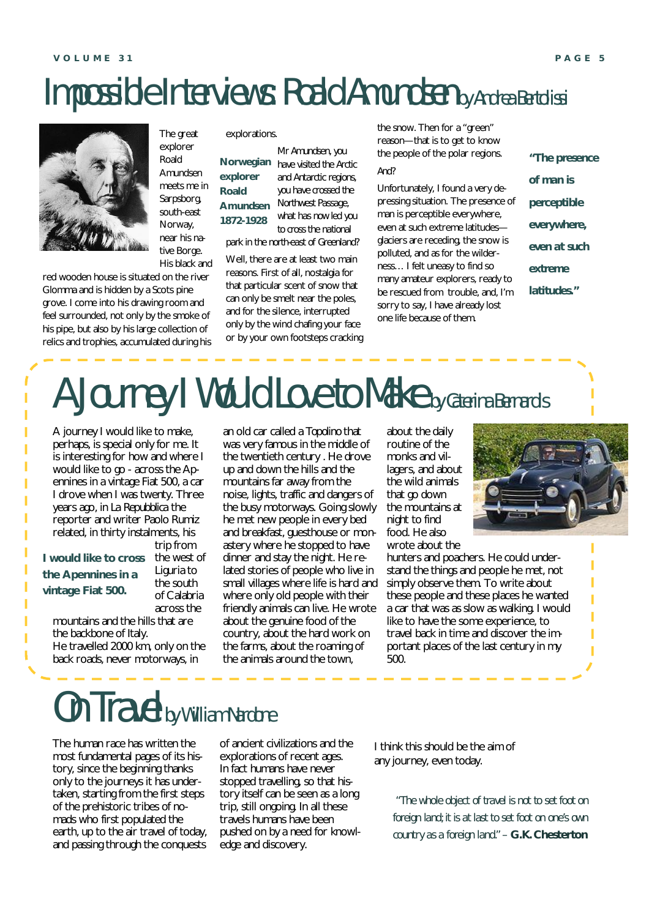### Impossible Interviews: Roald Amundsen by Andrea Bertolissi



The great explorer Roald Amundsen meets me in Sarpsborg, south-east Norway, near his native Borge. His black and

red wooden house is situated on the river Glomma and is hidden by a Scots pine grove. I come into his drawing room and feel surrounded, not only by the smoke of his pipe, but also by his large collection of relics and trophies, accumulated during his

**Roald** 

explorations.

*Mr Amundsen, you have visited the Arctic*  **Norwegian**  *and Antarctic regions, you have crossed the Northwest Passage, what has now led you to cross the national park in the north-east of Greenland?* **explorer Amundsen 1872-1928**

Well, there are at least two main reasons. First of all, nostalgia for that particular scent of snow that can only be smelt near the poles, and for the silence, interrupted only by the wind chafing your face or by your own footsteps cracking the snow. Then for a "green" reason—that is to get to know the people of the polar regions.

### *And?*

Unfortunately, I found a very depressing situation. The presence of man is perceptible everywhere, even at such extreme latitudes glaciers are receding, the snow is polluted, and as for the wilderness… I felt uneasy to find so many amateur explorers, ready to be rescued from trouble, and, I'm sorry to say, I have already lost one life because of them.

*"The presence of man is perceptible everywhere, even at such extreme latitudes."*

# A Journey I Would Love to Make by Caterina Bernardis

A journey I would like to make, perhaps, is special only for me. It is interesting for how and where I would like to go - across the Apennines in a vintage Fiat 500, a car I drove when I was twenty. Three years ago, in *La Repubblica* the reporter and writer Paolo Rumiz related, in thirty instalments, his trip from

### **I would like to cross the Apennines in a vintage Fiat 500.**

the south of Calabria across the

the west of Liguria to

mountains and the hills that are the backbone of Italy.

He travelled 2000 km, only on the back roads, never motorways, in

an old car called a *Topolino* that was very famous in the middle of the twentieth century . He drove up and down the hills and the mountains far away from the noise, lights, traffic and dangers of the busy motorways. Going slowly he met new people in every bed and breakfast, guesthouse or monastery where he stopped to have dinner and stay the night. He related stories of people who live in small villages where life is hard and where only old people with their friendly animals can live. He wrote about the genuine food of the country, about the hard work on the farms, about the roaming of the animals around the town,

about the daily routine of the monks and villagers, and about the wild animals that go down the mountains at night to find food. He also wrote about the

hunters and poachers. He could understand the things and people he met, not simply observe them. To write about these people and these places he wanted a car that was as slow as walking. I would like to have the some experience, to travel back in time and discover the important places of the last century in my 500.

### On Travel by William Nardone

The human race has written the most fundamental pages of its history, since the beginning thanks only to the journeys it has undertaken, starting from the first steps of the prehistoric tribes of nomads who first populated the earth, up to the air travel of today, and passing through the conquests

of ancient civilizations and the explorations of recent ages. In fact humans have never stopped travelling, so that history itself can be seen as a long trip, still ongoing. In all these travels humans have been pushed on by a need for knowledge and discovery.

I think this should be the aim of any journey, even today.

> *"The whole object of travel is not to set foot on foreign land; it is at last to set foot on one's own country as a foreign land." – G.K. Chesterton*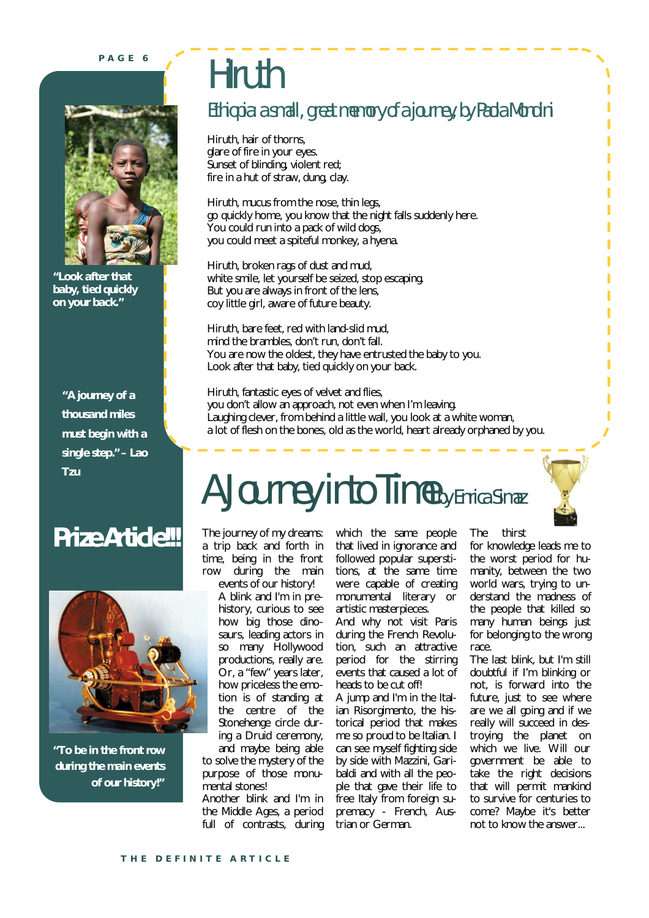**P A G E 6**



*"Look after that baby, tied quickly on your back."*

*"A journey of a thousand miles must begin with a single step." – Lao Tzu*

### **Prize Article!!!**



*"To be in the front row during the main events of our history!"*

# **Hiruth**

### Ethiopia: a small, great memory of a journey, by Paola Mondini

Hiruth, hair of thorns, glare of fire in your eyes. Sunset of blinding, violent red; fire in a hut of straw, dung, clay.

Hiruth, mucus from the nose, thin legs, go quickly home, you know that the night falls suddenly here. You could run into a pack of wild dogs, you could meet a spiteful monkey, a hyena.

Hiruth, broken rags of dust and mud, white smile, let yourself be seized, stop escaping. But you are always in front of the lens, coy little girl, aware of future beauty.

Hiruth, bare feet, red with land-slid mud, mind the brambles, don't run, don't fall. You are now the oldest, they have entrusted the baby to you. Look after that baby, tied quickly on your back.

Hiruth, fantastic eyes of velvet and flies, you don't allow an approach, not even when I'm leaving. Laughing clever, from behind a little wall, you look at a white woman, a lot of flesh on the bones, old as the world, heart already orphaned by you.

# A Journey into Time by Enrica Simaz

The journey of my dreams: a trip back and forth in time, being in the front row during the main

events of our history! A blink and I'm in prehistory, curious to see how big those dinosaurs, leading actors in so many Hollywood productions, really are. Or, a "few" years later, how priceless the emotion is of standing at the centre of the Stonehenge circle during a Druid ceremony,

and maybe being able to solve the mystery of the purpose of those monumental stones!

Another blink and I'm in the Middle Ages, a period full of contrasts, during which the same people that lived in ignorance and followed popular superstitions, at the same time were capable of creating monumental literary or artistic masterpieces.

And why not visit Paris during the French Revolution, such an attractive period for the stirring events that caused a lot of heads to be cut off!

A jump and I'm in the Italian Risorgimento, the historical period that makes me so proud to be Italian. I can see myself fighting side by side with Mazzini, Garibaldi and with all the people that gave their life to free Italy from foreign supremacy - French, Austrian or German.

The thirst

for knowledge leads me to the worst period for humanity, between the two world wars, trying to understand the madness of the people that killed so many human beings just for belonging to the wrong race.

The last blink, but I'm still doubtful if I'm blinking or not, is forward into the future, just to see where are we all going and if we really will succeed in destroying the planet on which we live. Will our government be able to take the right decisions that will permit mankind to survive for centuries to come? Maybe it's better not to know the answer...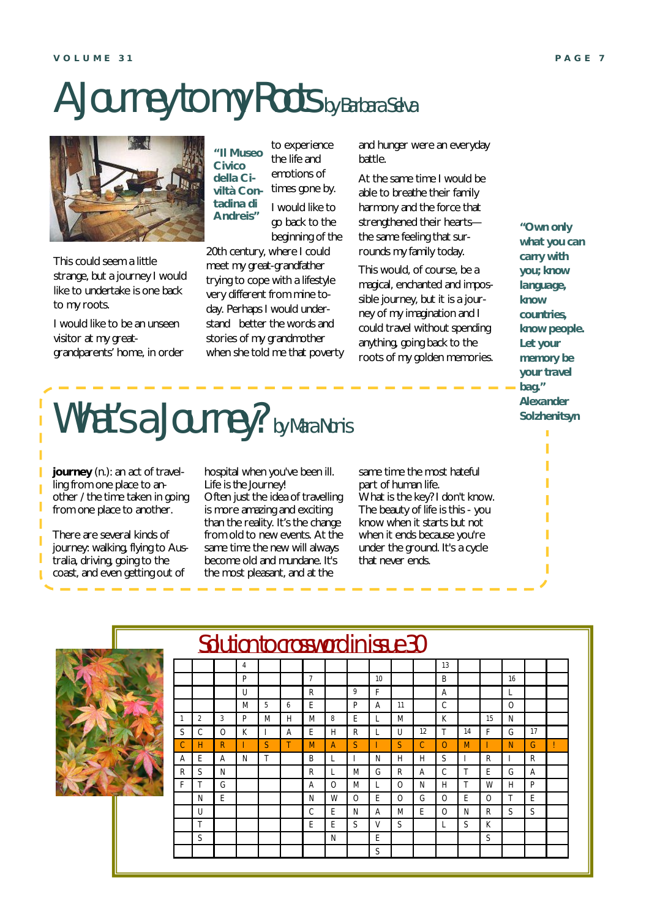# A Journey to my Roots by Barbara Selva



This could seem a little strange, but a journey I would like to undertake is one back to my roots.

I would like to be an unseen visitor at my greatgrandparents' home, in order

to experience the life and emotions of times gone by. I would like to go back to the beginning of the **"Il Museo Civico della Civiltà Contadina di Andreis"**

20th century, where I could meet my great-grandfather trying to cope with a lifestyle very different from mine today. Perhaps I would understand better the words and stories of my grandmother when she told me that poverty and hunger were an everyday battle.

At the same time I would be able to breathe their family harmony and the force that strengthened their hearts the same feeling that surrounds my family today.

This would, of course, be a magical, enchanted and impossible journey, but it is a journey of my imagination and I could travel without spending anything, going back to the roots of my golden memories.

*"Own only what you can carry with you; know language, know countries, know people. Let your memory be your travel bag." Alexander Solzhenitsyn*

# What's a Journey? by Mara Nonis

**journey** (n.): an act of travelling from one place to another / the time taken in going from one place to another.

There are several kinds of journey: walking, flying to Australia, driving, going to the coast, and even getting out of

hospital when you've been ill. Life is *the* Journey!

Often just the idea of travelling is more amazing and exciting than the reality. It's the change from old to new events. At the same time the new will always become old and mundane. It's the most pleasant, and at the

4 | | | | | | | | | | 13

Solution to crossword in issue 30

1 | 2 | 3 | P | M | H | M | 8 | E | L | M | | K | | 15 | N S | C | O | K | I | A | E | H | R | L | U | 12 | T | 14 | F | G | 17 C | H | R | I | S | T | M | A | S | I | S | C | O | M | I | N | G | ! A | E | A | N | T | | B | L | I | N | H | H | S | I | R | I | R R S N FIR R L M G R A C T E G A F T G A O M L O N H T W H P N JE | | | | N | W | O | E | O | G | O | E | O | T | E U | | | | | C |E |N |A |M |E |O |N |R |S |S

T | | | | | E | E | S | V | S | | L | S | K S N E S

P **1** | 7 | | | | 10 | | | | B | | | | 16 U | | | R | | | 9 | F | | | | | A | | | | L M | 5 | 6 | E | | | P | A | 11 | C | | | | O

S

same time the most hateful part of human life. What is the key? I don't know. The beauty of life is this - you know when it starts but not when it ends because you're under the ground. It's a cycle that never ends.